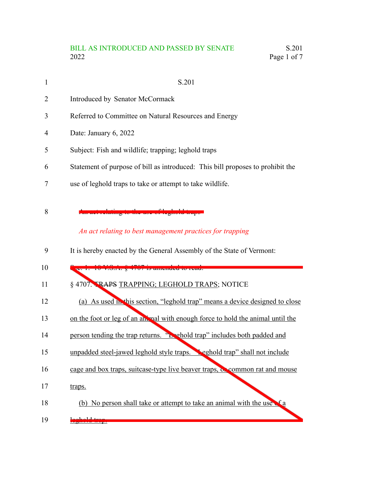## BILL AS INTRODUCED AND PASSED BY SENATE S.201<br>2022 Page 1 of 7 Page 1 of 7  $\,$

| $\mathbf{1}$ | S.201                                                                                              |
|--------------|----------------------------------------------------------------------------------------------------|
| 2            | Introduced by Senator McCormack                                                                    |
| 3            | Referred to Committee on Natural Resources and Energy                                              |
| 4            | Date: January 6, 2022                                                                              |
| 5            | Subject: Fish and wildlife; trapping; leghold traps                                                |
| 6            | Statement of purpose of bill as introduced: This bill proposes to prohibit the                     |
| 7            | use of leghold traps to take or attempt to take wildlife.                                          |
| 8            | <mark>o-tho-uso-of-loghold-tra</mark><br>An act relating to best management practices for trapping |
|              |                                                                                                    |
| 9            | It is hereby enacted by the General Assembly of the State of Vermont:                              |
| 10           | 20 1. 10 F.S.A. 8 1707 is amonded to read.                                                         |
| 11           | § 4707. TRAPS TRAPPING; LEGHOLD TRAPS; NOTICE                                                      |
| 12           | (a) As used in this section, "leghold trap" means a device designed to close                       |
| 13           | on the foot or leg of an animal with enough force to hold the animal until the                     |
| 14           | person tending the trap returns. "Lebold trap" includes both padded and                            |
| 15           | unpadded steel-jawed leghold style traps. Peghold trap" shall not include                          |
| 16           | cage and box traps, suitcase-type live beaver traps, or common rat and mouse                       |
| 17           | traps.                                                                                             |

- (b) No person shall take or attempt to take an animal with the use  $\epsilon$  a 18
- <mark>.ld. trap.</mark> 19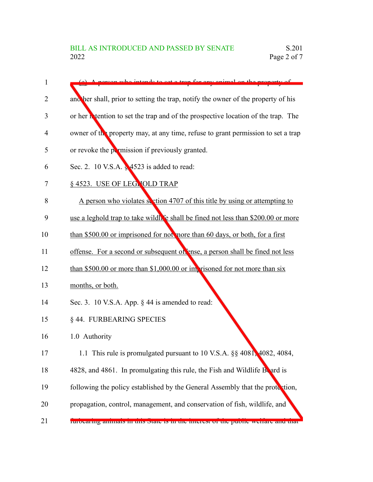| $\mathbf{1}$ | A person who intends to set a tran for env enimal on the property of               |
|--------------|------------------------------------------------------------------------------------|
| 2            | and her shall, prior to setting the trap, notify the owner of the property of his  |
| 3            | or her intention to set the trap and of the prospective location of the trap. The  |
| 4            | owner of the property may, at any time, refuse to grant permission to set a trap   |
| 5            | or revoke the permission if previously granted.                                    |
| 6            | Sec. 2. 10 V.S.A. § 4523 is added to read:                                         |
| 7            | § 4523. USE OF LEGNOLD TRAP                                                        |
| 8            | A person who violates section 4707 of this title by using or attempting to         |
| 9            | use a leghold trap to take wildle shall be fined not less than \$200.00 or more    |
| 10           | than \$500.00 or imprisoned for not more than 60 days, or both, for a first        |
| 11           | offense. For a second or subsequent of ense, a person shall be fined not less      |
| 12           | than \$500.00 or more than \$1,000.00 or imprisoned for not more than $\sin x$     |
| 13           | months, or both.                                                                   |
| 14           | Sec. 3. 10 V.S.A. App. § 44 is amended to read:                                    |
| 15           | § 44. FURBEARING SPECIES                                                           |
| 16           | 1.0 Authority                                                                      |
| 17           | 1.1 This rule is promulgated pursuant to 10 V.S.A. §§ 4081, 4082, 4084,            |
| 18           | 4828, and 4861. In promulgating this rule, the Fish and Wildlife Beard is          |
| 19           | following the policy established by the General Assembly that the protection,      |
| 20           | propagation, control, management, and conservation of fish, wildlife, and          |
| 21           | rurocaring annuals in this state is in the interest of the public weirare and that |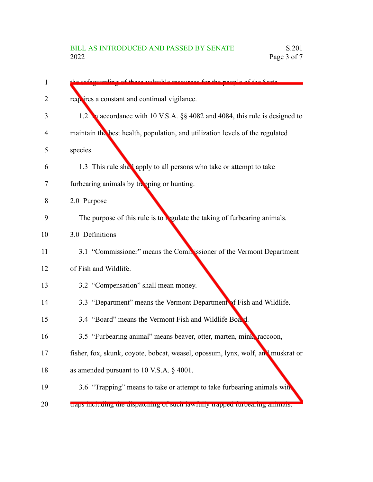| 1  | cofoquerding of these valuable resources for the neeple of the State            |
|----|---------------------------------------------------------------------------------|
| 2  | requires a constant and continual vigilance.                                    |
| 3  | 1.2 accordance with 10 V.S.A. §§ 4082 and 4084, this rule is designed to        |
| 4  | maintain the best health, population, and utilization levels of the regulated   |
| 5  | species.                                                                        |
| 6  | 1.3 This rule shall apply to all persons who take or attempt to take            |
| 7  | furbearing animals by trapping or hunting.                                      |
| 8  | 2.0 Purpose                                                                     |
| 9  | The purpose of this rule is to regulate the taking of furbearing animals.       |
| 10 | 3.0 Definitions                                                                 |
| 11 | 3.1 "Commissioner" means the Commissioner of the Vermont Department             |
| 12 | of Fish and Wildlife.                                                           |
| 13 | 3.2 "Compensation" shall mean money.                                            |
| 14 | 3.3 "Department" means the Vermont Department of Fish and Wildlife.             |
| 15 | 3.4 "Board" means the Vermont Fish and Wildlife Board.                          |
| 16 | 3.5 "Furbearing animal" means beaver, otter, marten, mink, raccoon,             |
| 17 | fisher, fox, skunk, coyote, bobcat, weasel, opossum, lynx, wolf, and muskrat or |
| 18 | as amended pursuant to 10 V.S.A. § 4001.                                        |
| 19 | 3.6 "Trapping" means to take or attempt to take furbearing animals with         |
| 20 | traps mentumg the urspatening or suen rawruny trapped rurocaring animals.       |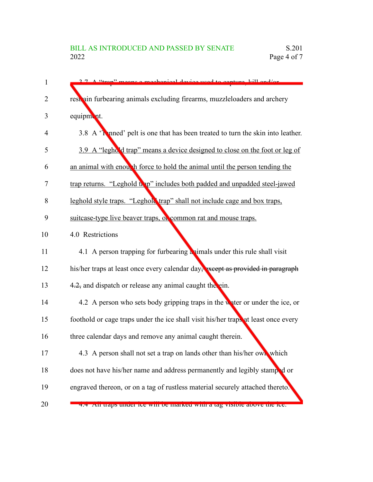| $\mathbf{1}$ | 2.7 A "trap" means a mechanical device used to capture kill and/or                 |
|--------------|------------------------------------------------------------------------------------|
| 2            | rest ain furbearing animals excluding firearms, muzzleloaders and archery          |
| 3            | equipment.                                                                         |
| 4            | 3.8 A 'T mned' pelt is one that has been treated to turn the skin into leather.    |
| 5            | 3.9 A "leghold trap" means a device designed to close on the foot or leg of        |
| 6            | an animal with enough force to hold the animal until the person tending the        |
| 7            | trap returns. "Leghold thep" includes both padded and unpadded steel-jawed         |
| 8            | leghold style traps. "Leghold trap" shall not include cage and box traps,          |
| 9            | suitcase-type live beaver traps, or common rat and mouse traps.                    |
| 10           | 4.0 Restrictions                                                                   |
| 11           | 4.1 A person trapping for furbearing a simal under this rule shall visit           |
| 12           | his/her traps at least once every calendar day, except as provided in paragraph    |
| 13           | 4.2, and dispatch or release any animal caught the ein.                            |
| 14           | 4.2 A person who sets body gripping traps in the water or under the ice, or        |
| 15           | foothold or cage traps under the ice shall visit his/her traps at least once every |
| 16           | three calendar days and remove any animal caught therein.                          |
| 17           | 4.3 A person shall not set a trap on lands other than his/her own which            |
| 18           | does not have his/her name and address permanently and legibly stamped or          |
| 19           | engraved thereon, or on a tag of rustless material securely attached thereto.      |
| 20           | 4.4 An iraps under ice win be marked with a tag visible above the ice.             |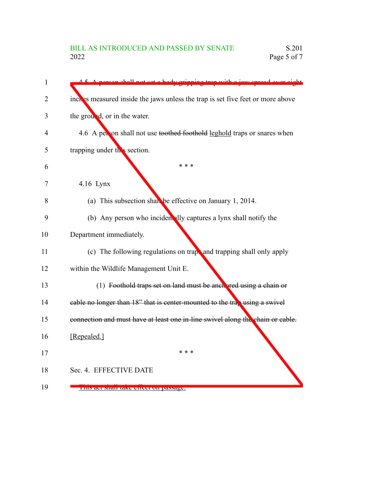| 1  | person shall not set a hody gripping trap with a joy spread over eight         |
|----|--------------------------------------------------------------------------------|
| 2  | inches measured inside the jaws unless the trap is set five feet or more above |
| 3  | the ground, or in the water.                                                   |
| 4  | 4.6 A person shall not use toothed foothold leghold traps or snares when       |
| 5  | trapping under this section.                                                   |
| 6  | * * *                                                                          |
| 7  | $4.16$ Lynx                                                                    |
| 8  | (a) This subsection shall be effective on January 1, 2014.                     |
| 9  | (b) Any person who incident ally captures a lynx shall notify the              |
| 10 | Department immediately.                                                        |
| 11 | (c) The following regulations on trapt and trapping shall only apply           |
| 12 | within the Wildlife Management Unit E.                                         |
| 13 | (1) Foothold traps set on land must be anchared using a chain or               |
| 14 | cable no longer than $18$ " that is center-mounted to the trap using a swivel  |
| 15 | connection and must have at least one in-line swivel along the chain or cable. |
| 16 | [Repealed.]                                                                    |
| 17 | * * *                                                                          |
| 18 | Sec. 4. EFFECTIVE DATE                                                         |
| 19 | THIS act Shall take effect on passage.                                         |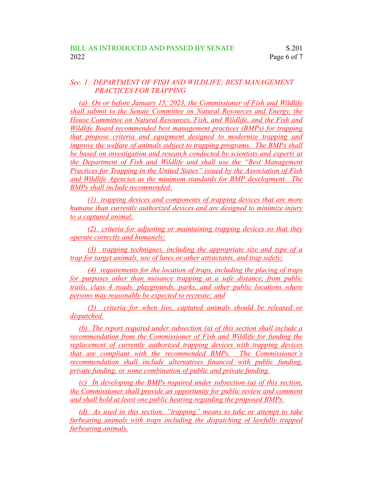## *Sec. 1. DEPARTMENT OF FISH AND WILDLIFE; BEST MANAGEMENT PRACTICES FOR TRAPPING*

*(a) On or before January 15, 2023, the Commissioner of Fish and Wildlife shall submit to the Senate Committee on Natural Resources and Energy, the House Committee on Natural Resources, Fish, and Wildlife, and the Fish and Wildlife Board recommended best management practices (BMPs) for trapping that propose criteria and equipment designed to modernize trapping and improve the welfare of animals subject to trapping programs. The BMPs shall be based on investigation and research conducted by scientists and experts at the Department of Fish and Wildlife and shall use the "Best Management Practices for Trapping in the United States" issued by the Association of Fish and Wildlife Agencies as the minimum standards for BMP development. The BMPs shall include recommended:*

*(1) trapping devices and components of trapping devices that are more humane than currently authorized devices and are designed to minimize injury to a captured animal;*

*(2) criteria for adjusting or maintaining trapping devices so that they operate correctly and humanely;*

*(3) trapping techniques, including the appropriate size and type of a trap for target animals, use of lures or other attractants, and trap safety;*

*(4) requirements for the location of traps, including the placing of traps for purposes other than nuisance trapping at a safe distance, from public trails, class 4 roads, playgrounds, parks, and other public locations where persons may reasonably be expected to recreate; and*

*(5) criteria for when live, captured animals should be released or dispatched.*

*(b) The report required under subsection (a) of this section shall include a recommendation from the Commissioner of Fish and Wildlife for funding the replacement of currently authorized trapping devices with trapping devices that are compliant with the recommended BMPs. The Commissioner's recommendation shall include alternatives financed with public funding, private funding, or some combination of public and private funding.*

*(c) In developing the BMPs required under subsection (a) of this section, the Commissioner shall provide an opportunity for public review and comment and shall hold at least one public hearing regarding the proposed BMPs.*

*(d) As used in this section, "trapping" means to take or attempt to take furbearing animals with traps including the dispatching of lawfully trapped furbearing animals.*